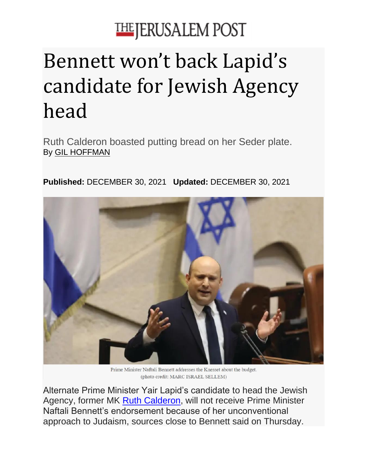## **THE JERUSALEM POST**

## Bennett won't back Lapid's candidate for Jewish Agency head

Ruth Calderon boasted putting bread on her Seder plate. By [GIL HOFFMAN](https://www.jpost.com/author/gil-hoffman)

**Published:** DECEMBER 30, 2021 **Updated:** DECEMBER 30, 2021



Prime Minister Naftali Bennett addresses the Knesset about the budget. (photo credit: MARC ISRAEL SELLEM)

Alternate Prime Minister Yair Lapid's candidate to head the Jewish Agency, former MK [Ruth Calderon,](https://www.jpost.com/israel-news/politics-and-diplomacy/article-690101) will not receive Prime Minister Naftali Bennett's endorsement because of her unconventional approach to Judaism, sources close to Bennett said on Thursday.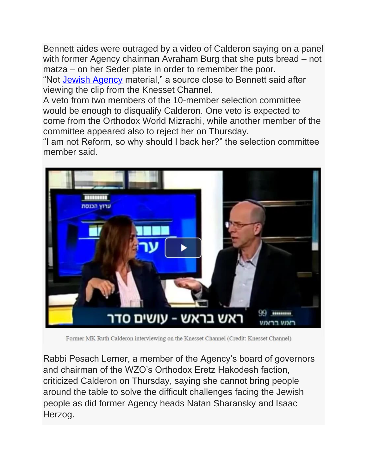Bennett aides were outraged by a video of Calderon saying on a panel with former Agency chairman Avraham Burg that she puts bread – not matza – on her Seder plate in order to remember the poor.

"Not [Jewish Agency](https://www.jpost.com/tags/jewish-agency) material," a source close to Bennett said after viewing the clip from the Knesset Channel.

A veto from two members of the 10-member selection committee would be enough to disqualify Calderon. One veto is expected to come from the Orthodox World Mizrachi, while another member of the committee appeared also to reject her on Thursday.

"I am not Reform, so why should I back her?" the selection committee member said.



Former MK Ruth Calderon interviewing on the Knesset Channel (Credit: Knesset Channel)

Rabbi Pesach Lerner, a member of the Agency's board of governors and chairman of the WZO's Orthodox Eretz Hakodesh faction, criticized Calderon on Thursday, saying she cannot bring people around the table to solve the difficult challenges facing the Jewish people as did former Agency heads Natan Sharansky and Isaac Herzog.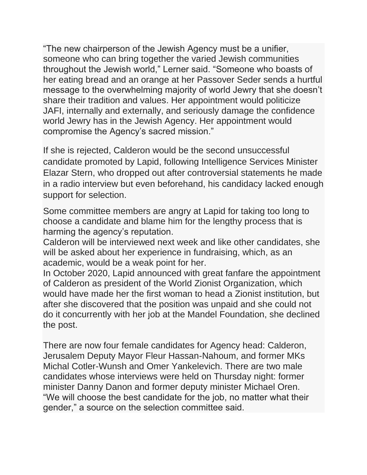"The new chairperson of the Jewish Agency must be a unifier, someone who can bring together the varied Jewish communities throughout the Jewish world," Lerner said. "Someone who boasts of her eating bread and an orange at her Passover Seder sends a hurtful message to the overwhelming majority of world Jewry that she doesn't share their tradition and values. Her appointment would politicize JAFI, internally and externally, and seriously damage the confidence world Jewry has in the Jewish Agency. Her appointment would compromise the Agency's sacred mission."

If she is rejected, Calderon would be the second unsuccessful candidate promoted by Lapid, following Intelligence Services Minister Elazar Stern, who dropped out after controversial statements he made in a radio interview but even beforehand, his candidacy lacked enough support for selection.

Some committee members are angry at Lapid for taking too long to choose a candidate and blame him for the lengthy process that is harming the agency's reputation.

Calderon will be interviewed next week and like other candidates, she will be asked about her experience in fundraising, which, as an academic, would be a weak point for her.

In October 2020, Lapid announced with great fanfare the appointment of Calderon as president of the World Zionist Organization, which would have made her the first woman to head a Zionist institution, but after she discovered that the position was unpaid and she could not do it concurrently with her job at the Mandel Foundation, she declined the post.

There are now four female candidates for Agency head: Calderon, Jerusalem Deputy Mayor Fleur Hassan-Nahoum, and former MKs Michal Cotler-Wunsh and Omer Yankelevich. There are two male candidates whose interviews were held on Thursday night: former minister Danny Danon and former deputy minister Michael Oren. "We will choose the best candidate for the job, no matter what their gender," a source on the selection committee said.